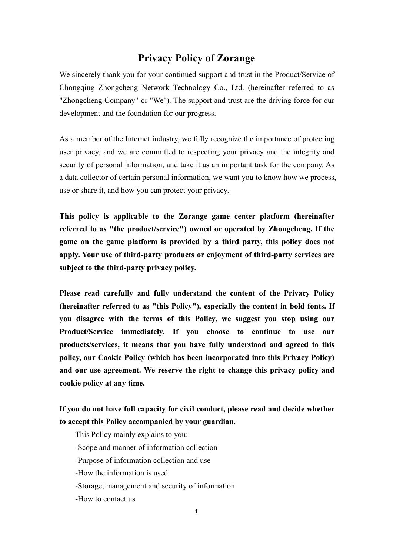# **Privacy Policy of Zorange**

We sincerely thank you for your continued support and trust in the Product/Service of Chongqing Zhongcheng Network Technology Co., Ltd. (hereinafter referred to as "Zhongcheng Company" or "We"). The support and trust are the driving force for our development and the foundation for our progress.

As a member of the Internet industry, we fully recognize the importance of protecting user privacy, and we are committed to respecting your privacy and the integrity and security of personal information, and take it as an important task for the company. As a data collector of certain personal information, we want you to know how we process, use or share it, and how you can protect your privacy.

**This policy is applicable to the Zorange game center platform (hereinafter referred to as "the product/service") owned or operated by Zhongcheng. If the game on the game platform is providedby a third party, this policy does not apply. Your use of third-party products or enjoyment of third-party services are subject to the third-party privacy policy.**

**Please read carefully and fully understand the content of the Privacy Policy (hereinafter referred to as "this Policy"), especially the content in bold fonts. If you disagree with the terms of this Policy, we suggest you stop using our Product/Service immediately. If you choose to continue to use our products/services, it means that you have fully understood and agreed to this policy, our Cookie Policy (which has been incorporated into this Privacy Policy) and our use agreement. We reserve the right to change this privacy policy and cookie policy at any time.**

**If you do not have full capacity for civil conduct, please read and decide whether to accept this Policy accompanied by your guardian.**

This Policy mainly explains to you: -Scope and manner of information collection -Purpose of information collection and use -How the information is used -Storage, management and security of information -How to contact us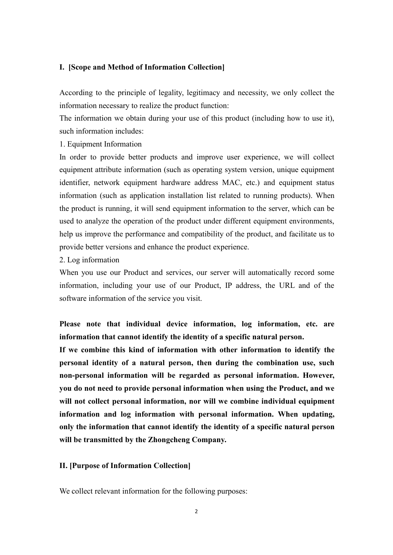### **I. [Scope and Method of Information Collection]**

According to the principle of legality, legitimacy and necessity, we only collect the information necessary to realize the product function:

The information we obtain during your use of this product (including how to use it), such information includes:

1. Equipment Information

In order to provide better products and improve user experience, we will collect equipment attribute information (such as operating system version, unique equipment identifier, network equipment hardware address MAC, etc.) and equipment status information (such as application installation list related to running products). When the product is running, it will send equipment information to the server, which can be used to analyze the operation of the product under different equipment environments, help us improve the performance and compatibility of the product, and facilitate us to provide better versions and enhance the product experience.

2. Log information

When you use our Product and services, our server will automatically record some information, including your use of our Product, IP address, the URL and of the software information of the service you visit.

**Please note that individual device information, log information, etc. are information that cannot identify the identity of a specific natural person.**

**If we combine this kind of information with other information to identify the personal identity of a natural person, then during the combination use, such non-personal information will be regarded as personal information. However, you do not need to provide personal information when using the Product, and we will not collect personal information, nor will we combine individual equipment information and log information with personal information. When updating, only the information that cannot identify the identity of a specific natural person will be transmitted by the Zhongcheng Company.**

#### **II. [Purpose of Information Collection]**

We collect relevant information for the following purposes: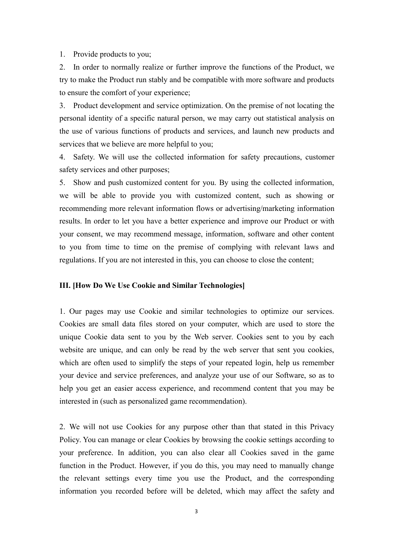1. Provide products to you;

2. In order to normally realize or further improve the functions of the Product, we try to make the Product run stably and be compatible with more software and products to ensure the comfort of your experience;

3. Product development and service optimization. On the premise of not locating the personal identity of a specific natural person, we may carry out statistical analysis on the use of various functions of products and services, and launch new products and services that we believe are more helpful to you;

4. Safety. We will use the collected information for safety precautions, customer safety services and other purposes;

5. Show and push customized content for you. By using the collected information, we will be able to provide you with customized content, such as showing or recommending more relevant information flows or advertising/marketing information results. In order to let you have a better experience and improve our Product or with your consent, we may recommend message, information, software and other content to you from time to time on the premise of complying with relevant laws and regulations. If you are not interested in this, you can choose to close the content;

#### **III. [How Do We Use Cookie and Similar Technologies]**

1. Our pages may use Cookie and similar technologies to optimize our services. Cookies are small data files stored on your computer, which are used to store the unique Cookie data sent to you by the Web server. Cookies sent to you by each website are unique, and can only be read by the web server that sent you cookies, which are often used to simplify the steps of your repeated login, help us remember your device and service preferences, and analyze your use of our Software, so as to help you get an easier access experience, and recommend content that you may be interested in (such as personalized game recommendation).

2. We will not use Cookies for any purpose other than that stated in this Privacy Policy. You can manage or clear Cookies by browsing the cookie settings according to your preference. In addition, you can also clear all Cookies saved in the game function in the Product. However, if you do this, you may need to manually change the relevant settings every time you use the Product, and the corresponding information you recorded before will be deleted, which may affect the safety and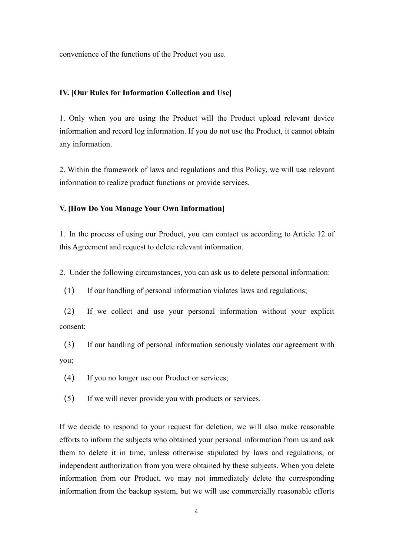convenience of the functions of the Product you use.

#### **IV. [Our Rules for Information Collection and Use]**

1. Only when you are using the Product will the Product upload relevant device information and record log information. If you do not use the Product, it cannot obtain any information.

2. Within the framework of laws and regulations and this Policy, we will use relevant information to realize product functions or provide services.

#### **V. [How Do You Manage Your Own Information]**

1. In the process of using our Product, you can contact us according to Article 12 of this Agreement and request to delete relevant information.

2. Under the following circumstances, you can ask us to delete personal information:

(1) If our handling of personal information violates laws and regulations;

(2) If we collect and use your personal information without your explicit consent;

(3) If our handling of personal information seriously violates our agreement with you;

(4) If you no longer use our Product or services;

(5) If we will never provide you with products or services.

If we decide to respond to your request for deletion, we will also make reasonable efforts to inform the subjects who obtained your personal information from us and ask them to delete it in time, unless otherwise stipulated by laws and regulations, or independent authorization from you were obtained by these subjects. When you delete information from our Product, we may not immediately delete the corresponding information from the backup system, but we will use commercially reasonable efforts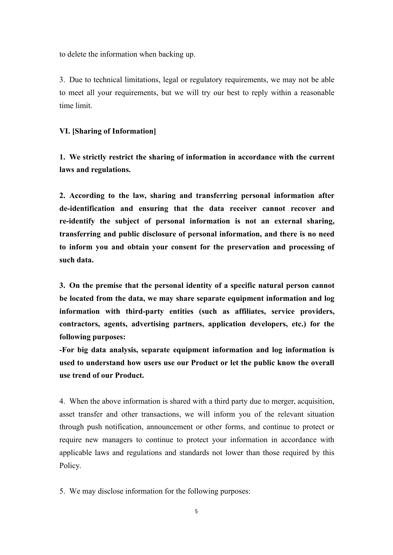to delete the information when backing up.

3. Due to technical limitations, legal or regulatory requirements, we may not be able to meet all your requirements, but we will try our best to reply within a reasonable time limit.

#### **VI. [Sharing of Information]**

**1. We strictly restrict the sharing of information in accordance with the current laws and regulations.**

**2. According to the law, sharing and transferring personal information after de-identification and ensuring that the data receiver cannot recover and re-identify the subject of personal information is not an external sharing, transferring and public disclosure of personal information, and there isno need to inform you and obtain your consent for the preservation and processing of such data.**

**3.** On the premise that the personal identity of a specific natural person cannot **be located from the data, we may share separate equipment information and log information with third-party entities (such as affiliates, service providers, contractors, agents, advertising partners, application developers, etc.) for the following purposes:**

**-For big data analysis, separate equipment information and log information is used to understand how users use our Product or let the public know the overall use trend of our Product.**

4. When the above information is shared with a third party due to merger, acquisition, asset transfer and other transactions, we will inform you of the relevant situation through push notification, announcement or other forms, and continue to protect or require new managers to continue to protect your information in accordance with applicable laws and regulations and standards not lower than those required by this Policy.

5. We may disclose information for the following purposes: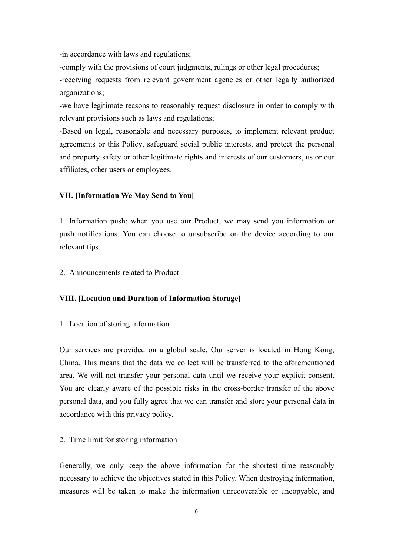-in accordance with laws and regulations;

-comply with the provisions of court judgments, rulings or other legal procedures; -receiving requests from relevant government agencies or other legally authorized organizations;

-we have legitimate reasons to reasonably request disclosure in order to comply with relevant provisions such as laws and regulations;

-Based on legal, reasonable and necessary purposes, to implement relevant product agreements or this Policy, safeguard social public interests, and protect the personal and property safety or other legitimate rights and interests of our customers, us orour affiliates, other users or employees.

# **VII. [Information We May Send to You]**

1. Information push: when you use our Product, we may send you information or push notifications. You can choose to unsubscribe on the device according to our relevant tips.

2. Announcements related to Product.

# **VIII. [Location and Duration of Information Storage]**

# 1. Location of storing information

Our services are provided on a global scale. Our server is located in Hong Kong, China. This means that the data we collect will be transferred to the aforementioned area. We will not transfer your personal data until we receive your explicit consent. You are clearly aware of the possible risks in the cross-border transfer of the above personal data, and you fully agree that we can transfer and store your personal data in accordance with this privacy policy.

# 2. Time limit for storing information

Generally, we only keep the above information for the shortest time reasonably necessary to achieve the objectives stated in this Policy.When destroying information, measures will be taken to make the information unrecoverable or uncopyable, and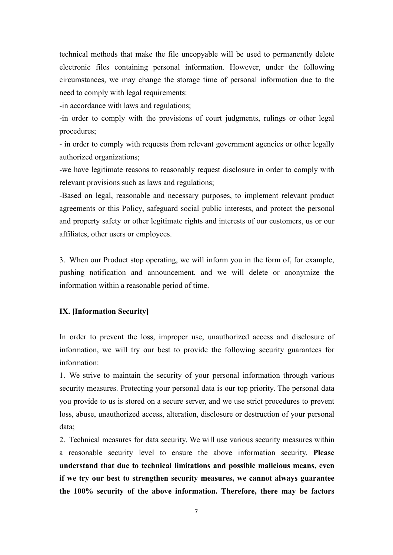technical methods that make the file uncopyable will be used to permanently delete electronic files containing personal information. However, under the following circumstances, we may change the storage time of personal information due to the need to comply with legal requirements:

-in accordance with laws and regulations;

-in order to comply with the provisions of court judgments, rulings or other legal procedures;

- in order to comply with requests from relevant government agencies or other legally authorized organizations;

-we have legitimate reasons to reasonably request disclosure in order to comply with relevant provisions such as laws and regulations;

-Based on legal, reasonable and necessary purposes, to implement relevant product agreements or this Policy, safeguard social public interests, and protect the personal and property safety or other legitimate rights and interests of our customers, us orour affiliates, other users or employees.

3. When our Product stop operating, we will inform you in the form of, for example, pushing notification and announcement, and we will delete or anonymize the information within a reasonable period of time.

# **IX. [Information Security]**

In order to prevent the loss, improper use, unauthorized access and disclosure of information, we will try our best to provide the following security guarantees for information:

1. We strive to maintain the security of your personal information through various security measures. Protecting your personal data is our top priority. The personal data you provide to us isstored on a secure server, and we use strict procedures to prevent loss, abuse, unauthorized access, alteration, disclosure or destruction of your personal data;

2. Technical measures for data security.We will use various security measures within a reasonable security level to ensure the above information security. **Please understand that due to technical limitations and possible malicious means, even if we try our bestto strengthen security measures, we cannot always guarantee the 100% security of the above information. Therefore, there may be factors**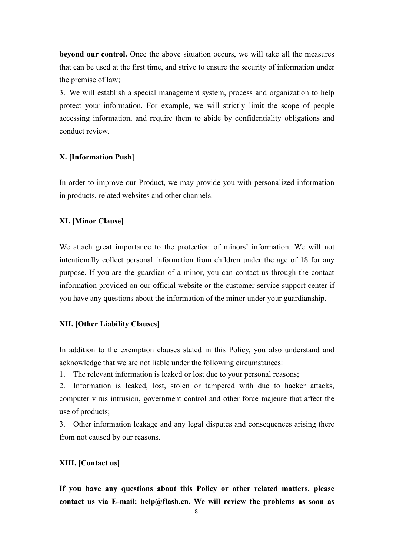**beyond our control.**Once the above situation occurs, we will take all the measures that can be used at the first time, and strive to ensure the security of information under the premise of law;

3. We will establish a special management system, process and organization to help protect your information. For example, we will strictly limit the scope of people accessing information, and require them to abide by confidentiality obligations and conduct review.

## **X. [Information Push]**

In order to improve our Product, we may provide you with personalized information in products, related websites and other channels.

### **XI. [Minor Clause]**

We attach great importance to the protection of minors' information. We will not intentionally collect personal information from children under the age of 18 for any purpose. If you are the guardian of a minor, you can contact us through the contact information provided on our official website or the customer service support center if you have any questions about the information of the minor under your guardianship.

# **XII. [Other Liability Clauses]**

In addition to the exemption clauses stated in this Policy, you also understand and acknowledge that we are not liable under the following circumstances:

1. The relevant information is leaked or lost due to your personal reasons;

2. Information is leaked, lost, stolen or tampered with due to hacker attacks, computer virus intrusion, government control and other force majeure that affect the use of products;

3. Other information leakage and any legal disputes and consequences arising there from not caused by our reasons.

### **XIII. [Contact us]**

**If you have any questions about this Policy or other related matters, please contact us via E-mail: help@flash.cn. We will review the problems as soon as**